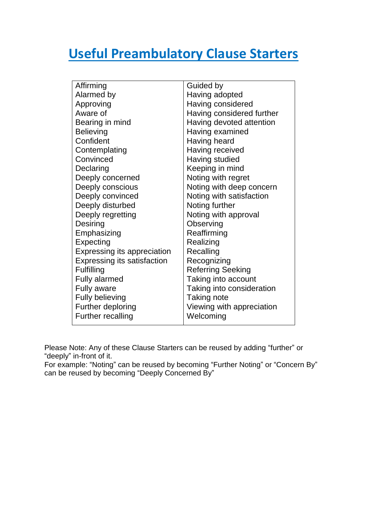## **Useful Preambulatory Clause Starters**

| Affirming                          | Guided by                 |
|------------------------------------|---------------------------|
| Alarmed by                         | Having adopted            |
| Approving                          | Having considered         |
| Aware of                           | Having considered further |
| Bearing in mind                    | Having devoted attention  |
| <b>Believing</b>                   | Having examined           |
| Confident                          | Having heard              |
| Contemplating                      | Having received           |
| Convinced                          | Having studied            |
| Declaring                          | Keeping in mind           |
| Deeply concerned                   | Noting with regret        |
| Deeply conscious                   | Noting with deep concern  |
| Deeply convinced                   | Noting with satisfaction  |
| Deeply disturbed                   | Noting further            |
| Deeply regretting                  | Noting with approval      |
| Desiring                           | Observing                 |
| Emphasizing                        | Reaffirming               |
| Expecting                          | Realizing                 |
| Expressing its appreciation        | Recalling                 |
| <b>Expressing its satisfaction</b> | Recognizing               |
| Fulfilling                         | <b>Referring Seeking</b>  |
| <b>Fully alarmed</b>               | Taking into account       |
| <b>Fully aware</b>                 | Taking into consideration |
| <b>Fully believing</b>             | Taking note               |
| Further deploring                  | Viewing with appreciation |
| <b>Further recalling</b>           | Welcoming                 |
|                                    |                           |

Please Note: Any of these Clause Starters can be reused by adding "further" or "deeply" in-front of it.

For example: "Noting" can be reused by becoming "Further Noting" or "Concern By" can be reused by becoming "Deeply Concerned By"